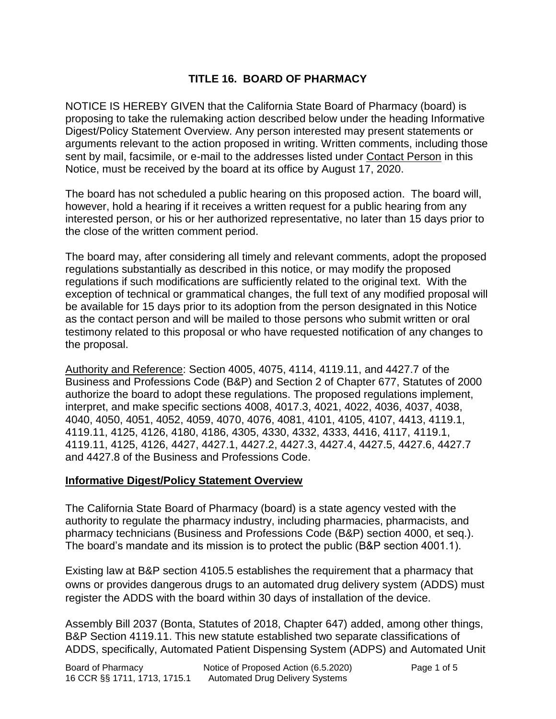# **TITLE 16. BOARD OF PHARMACY**

NOTICE IS HEREBY GIVEN that the California State Board of Pharmacy (board) is proposing to take the rulemaking action described below under the heading Informative Digest/Policy Statement Overview. Any person interested may present statements or arguments relevant to the action proposed in writing. Written comments, including those sent by mail, facsimile, or e-mail to the addresses listed under Contact Person in this Notice, must be received by the board at its office by August 17, 2020.

The board has not scheduled a public hearing on this proposed action. The board will, however, hold a hearing if it receives a written request for a public hearing from any interested person, or his or her authorized representative, no later than 15 days prior to the close of the written comment period.

The board may, after considering all timely and relevant comments, adopt the proposed regulations substantially as described in this notice, or may modify the proposed regulations if such modifications are sufficiently related to the original text. With the exception of technical or grammatical changes, the full text of any modified proposal will be available for 15 days prior to its adoption from the person designated in this Notice as the contact person and will be mailed to those persons who submit written or oral testimony related to this proposal or who have requested notification of any changes to the proposal.

Authority and Reference: Section 4005, 4075, 4114, 4119.11, and 4427.7 of the Business and Professions Code (B&P) and Section 2 of Chapter 677, Statutes of 2000 authorize the board to adopt these regulations. The proposed regulations implement, interpret, and make specific sections 4008, 4017.3, 4021, 4022, 4036, 4037, 4038, 4040, 4050, 4051, 4052, 4059, 4070, 4076, 4081, 4101, 4105, 4107, 4413, 4119.1, 4119.11, 4125, 4126, 4180, 4186, 4305, 4330, 4332, 4333, 4416, 4117, 4119.1, 4119.11, 4125, 4126, 4427, 4427.1, 4427.2, 4427.3, 4427.4, 4427.5, 4427.6, 4427.7 and 4427.8 of the Business and Professions Code.

### **Informative Digest/Policy Statement Overview**

The California State Board of Pharmacy (board) is a state agency vested with the authority to regulate the pharmacy industry, including pharmacies, pharmacists, and pharmacy technicians (Business and Professions Code (B&P) section 4000, et seq.). The board's mandate and its mission is to protect the public (B&P section 4001.1).

Existing law at B&P section 4105.5 establishes the requirement that a pharmacy that owns or provides dangerous drugs to an automated drug delivery system (ADDS) must register the ADDS with the board within 30 days of installation of the device.

Assembly Bill 2037 (Bonta, Statutes of 2018, Chapter 647) added, among other things, B&P Section 4119.11. This new statute established two separate classifications of ADDS, specifically, Automated Patient Dispensing System (ADPS) and Automated Unit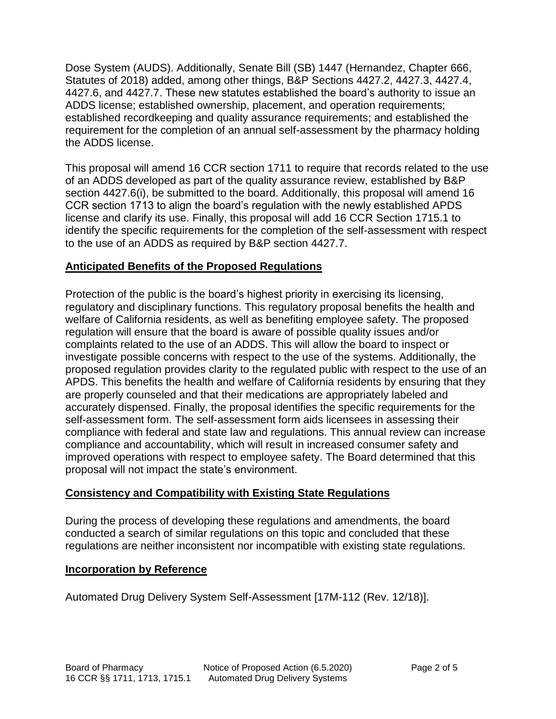Dose System (AUDS). Additionally, Senate Bill (SB) 1447 (Hernandez, Chapter 666, Statutes of 2018) added, among other things, B&P Sections 4427.2, 4427.3, 4427.4, 4427.6, and 4427.7. These new statutes established the board's authority to issue an ADDS license; established ownership, placement, and operation requirements; established recordkeeping and quality assurance requirements; and established the requirement for the completion of an annual self-assessment by the pharmacy holding the ADDS license.

This proposal will amend 16 CCR section 1711 to require that records related to the use of an ADDS developed as part of the quality assurance review, established by B&P section 4427.6(i), be submitted to the board. Additionally, this proposal will amend 16 CCR section 1713 to align the board's regulation with the newly established APDS license and clarify its use. Finally, this proposal will add 16 CCR Section 1715.1 to identify the specific requirements for the completion of the self-assessment with respect to the use of an ADDS as required by B&P section 4427.7.

# **Anticipated Benefits of the Proposed Regulations**

Protection of the public is the board's highest priority in exercising its licensing, regulatory and disciplinary functions. This regulatory proposal benefits the health and welfare of California residents, as well as benefiting employee safety. The proposed regulation will ensure that the board is aware of possible quality issues and/or complaints related to the use of an ADDS. This will allow the board to inspect or investigate possible concerns with respect to the use of the systems. Additionally, the proposed regulation provides clarity to the regulated public with respect to the use of an APDS. This benefits the health and welfare of California residents by ensuring that they are properly counseled and that their medications are appropriately labeled and accurately dispensed. Finally, the proposal identifies the specific requirements for the self-assessment form. The self-assessment form aids licensees in assessing their compliance with federal and state law and regulations. This annual review can increase compliance and accountability, which will result in increased consumer safety and improved operations with respect to employee safety. The Board determined that this proposal will not impact the state's environment.

## **Consistency and Compatibility with Existing State Regulations**

During the process of developing these regulations and amendments, the board conducted a search of similar regulations on this topic and concluded that these regulations are neither inconsistent nor incompatible with existing state regulations.

## **Incorporation by Reference**

Automated Drug Delivery System Self-Assessment [17M-112 (Rev. 12/18)].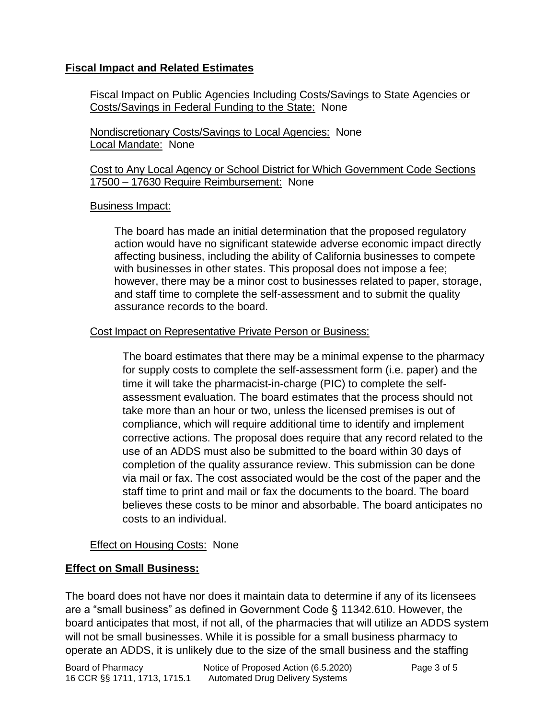## **Fiscal Impact and Related Estimates**

Fiscal Impact on Public Agencies Including Costs/Savings to State Agencies or Costs/Savings in Federal Funding to the State: None

Nondiscretionary Costs/Savings to Local Agencies: None Local Mandate: None

Cost to Any Local Agency or School District for Which Government Code Sections 17500 – 17630 Require Reimbursement: None

#### Business Impact:

The board has made an initial determination that the proposed regulatory action would have no significant statewide adverse economic impact directly affecting business, including the ability of California businesses to compete with businesses in other states. This proposal does not impose a fee; however, there may be a minor cost to businesses related to paper, storage, and staff time to complete the self-assessment and to submit the quality assurance records to the board.

### Cost Impact on Representative Private Person or Business:

The board estimates that there may be a minimal expense to the pharmacy for supply costs to complete the self-assessment form (i.e. paper) and the time it will take the pharmacist-in-charge (PIC) to complete the selfassessment evaluation. The board estimates that the process should not take more than an hour or two, unless the licensed premises is out of compliance, which will require additional time to identify and implement corrective actions. The proposal does require that any record related to the use of an ADDS must also be submitted to the board within 30 days of completion of the quality assurance review. This submission can be done via mail or fax. The cost associated would be the cost of the paper and the staff time to print and mail or fax the documents to the board. The board believes these costs to be minor and absorbable. The board anticipates no costs to an individual.

### Effect on Housing Costs: None

### **Effect on Small Business:**

The board does not have nor does it maintain data to determine if any of its licensees are a "small business" as defined in Government Code § 11342.610. However, the board anticipates that most, if not all, of the pharmacies that will utilize an ADDS system will not be small businesses. While it is possible for a small business pharmacy to operate an ADDS, it is unlikely due to the size of the small business and the staffing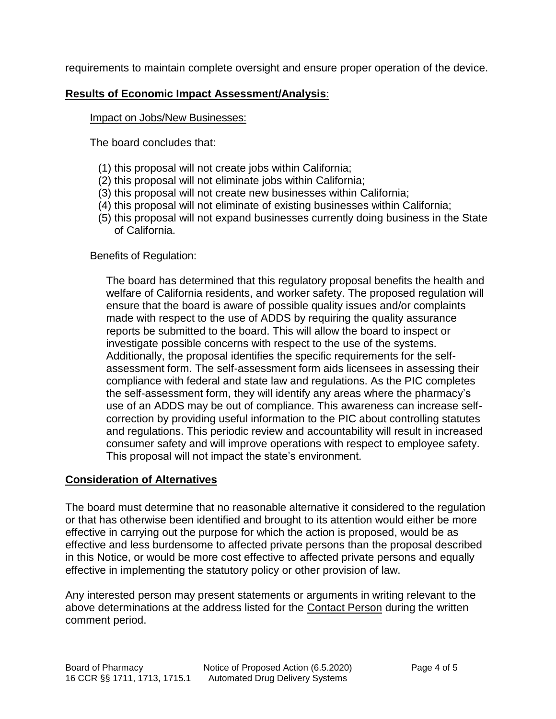requirements to maintain complete oversight and ensure proper operation of the device.

## **Results of Economic Impact Assessment/Analysis**:

### Impact on Jobs/New Businesses:

The board concludes that:

- (1) this proposal will not create jobs within California;
- (2) this proposal will not eliminate jobs within California;
- (3) this proposal will not create new businesses within California;
- (4) this proposal will not eliminate of existing businesses within California;
- (5) this proposal will not expand businesses currently doing business in the State of California.

### Benefits of Regulation:

The board has determined that this regulatory proposal benefits the health and welfare of California residents, and worker safety. The proposed regulation will ensure that the board is aware of possible quality issues and/or complaints made with respect to the use of ADDS by requiring the quality assurance reports be submitted to the board. This will allow the board to inspect or investigate possible concerns with respect to the use of the systems. Additionally, the proposal identifies the specific requirements for the selfassessment form. The self-assessment form aids licensees in assessing their compliance with federal and state law and regulations. As the PIC completes the self-assessment form, they will identify any areas where the pharmacy's use of an ADDS may be out of compliance. This awareness can increase selfcorrection by providing useful information to the PIC about controlling statutes and regulations. This periodic review and accountability will result in increased consumer safety and will improve operations with respect to employee safety. This proposal will not impact the state's environment.

## **Consideration of Alternatives**

The board must determine that no reasonable alternative it considered to the regulation or that has otherwise been identified and brought to its attention would either be more effective in carrying out the purpose for which the action is proposed, would be as effective and less burdensome to affected private persons than the proposal described in this Notice, or would be more cost effective to affected private persons and equally effective in implementing the statutory policy or other provision of law.

Any interested person may present statements or arguments in writing relevant to the above determinations at the address listed for the Contact Person during the written comment period.